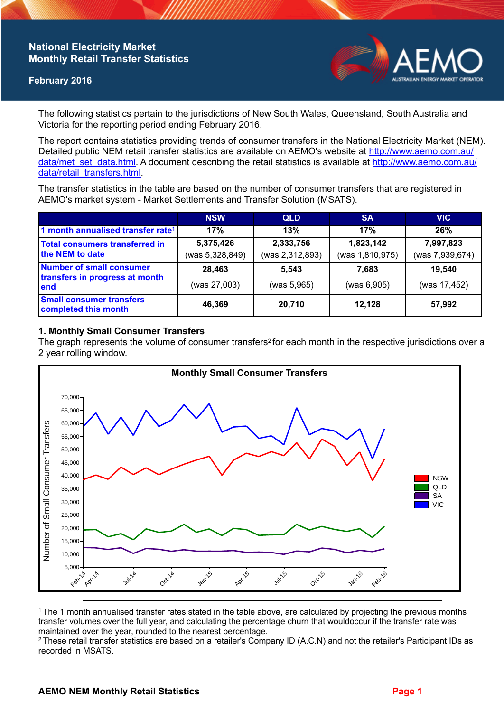## **National Electricity Market Monthly Retail Transfer Statistics**

### **February 2016**



The following statistics pertain to the jurisdictions of New South Wales, Queensland, South Australia and Victoria for the reporting period ending February 2016.

The report contains statistics providing trends of consumer transfers in the National Electricity Market (NEM). Detailed public NEM retail transfer statistics are available on AEMO's website at [http://www.aemo.com.au/](http://www.aemo.com.au/data/met_set_data.html) [data/met\\_set\\_data.html](http://www.aemo.com.au/data/met_set_data.html). A document describing the retail statistics is available at [http://www.aemo.com.au/](http://www.aemo.com.au/data/retail_transfers.html) [data/retail\\_transfers.html](http://www.aemo.com.au/data/retail_transfers.html).

The transfer statistics in the table are based on the number of consumer transfers that are registered in AEMO's market system - Market Settlements and Transfer Solution (MSATS).

|                                                                    | <b>NSW</b>                   | <b>QLD</b>                   | <b>SA</b>                    | <b>VIC</b>                   |
|--------------------------------------------------------------------|------------------------------|------------------------------|------------------------------|------------------------------|
| 1 month annualised transfer rate <sup>1</sup>                      | 17%                          | 13%                          | 17%                          | 26%                          |
| <b>Total consumers transferred in</b><br>the NEM to date           | 5,375,426<br>(was 5,328,849) | 2,333,756<br>(was 2,312,893) | 1,823,142<br>(was 1,810,975) | 7,997,823<br>(was 7,939,674) |
| Number of small consumer<br>transfers in progress at month<br>lend | 28,463<br>(was 27,003)       | 5,543<br>(was 5,965)         | 7.683<br>(was 6,905)         | 19,540<br>(was 17,452)       |
| <b>Small consumer transfers</b><br>completed this month            | 46,369                       | 20,710                       | 12,128                       | 57,992                       |

#### **1. Monthly Small Consumer Transfers**

The graph represents the volume of consumer transfers<sup>2</sup> for each month in the respective jurisdictions over a 2 year rolling window.



<sup>1</sup>The 1 month annualised transfer rates stated in the table above, are calculated by projecting the previous months transfer volumes over the full year, and calculating the percentage churn that wouldoccur if the transfer rate was maintained over the year, rounded to the nearest percentage.

<sup>2</sup> These retail transfer statistics are based on a retailer's Company ID (A.C.N) and not the retailer's Participant IDs as recorded in MSATS.